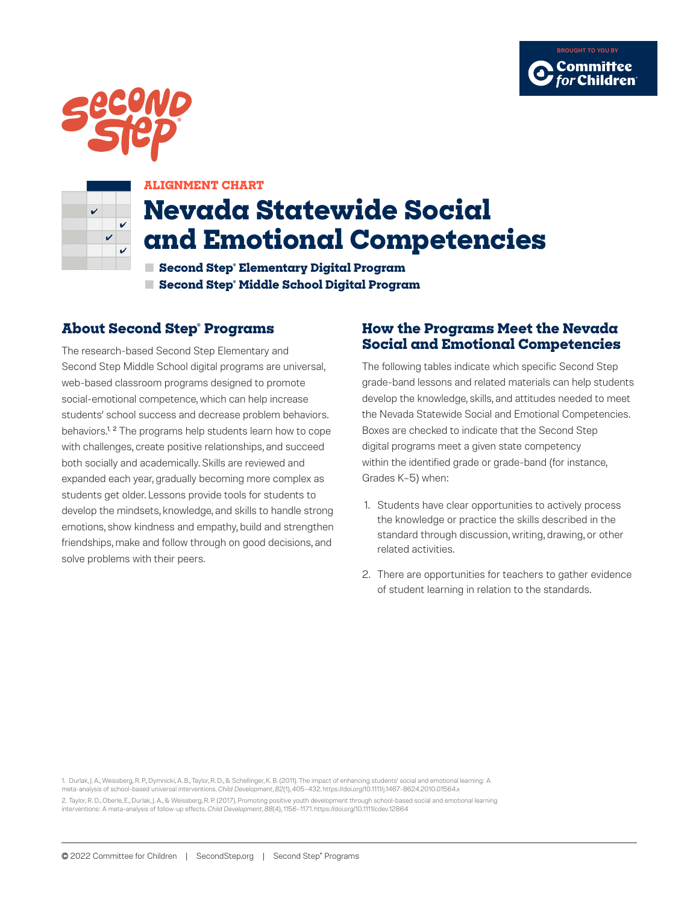





#### **ALIGNMENT CHART**

# **Nevada Statewide Social and Emotional Competencies**

**■ Second Step® Elementary Digital Program ■ Second Step® Middle School Digital Program**

### **About Second Step® Programs**

The research-based Second Step Elementary and Second Step Middle School digital programs are universal, web-based classroom programs designed to promote social-emotional competence, which can help increase students' school success and decrease problem behaviors. behaviors.<sup>1, 2</sup> The programs help students learn how to cope with challenges, create positive relationships, and succeed both socially and academically. Skills are reviewed and expanded each year, gradually becoming more complex as students get older. Lessons provide tools for students to develop the mindsets, knowledge, and skills to handle strong emotions, show kindness and empathy, build and strengthen friendships, make and follow through on good decisions, and solve problems with their peers.

#### **How the Programs Meet the Nevada Social and Emotional Competencies**

The following tables indicate which specific Second Step grade-band lessons and related materials can help students develop the knowledge, skills, and attitudes needed to meet the Nevada Statewide Social and Emotional Competencies. Boxes are checked to indicate that the Second Step digital programs meet a given state competency within the identified grade or grade-band (for instance, Grades K–5) when:

- 1. Students have clear opportunities to actively process the knowledge or practice the skills described in the standard through discussion, writing, drawing, or other related activities.
- 2. There are opportunities for teachers to gather evidence of student learning in relation to the standards.

1. Durlak, J. A., Weissberg, R. P., Dymnicki, A. B., Taylor, R. D., & Schellinger, K. B. (2011). The impact of enhancing students' social and emotional learning: A meta-analysis of school-based universal interventions. *Child Development*, *82*(1), 405–432. https://doi.org/10.1111/j.1467-8624.2010.01564.x 2. Taylor, R. D., Oberle, E., Durlak, J. A., & Weissberg, R. P. (2017). Promoting positive youth development through school-based social and emotional learning interventions: A meta-analysis of follow-up effects. *Child Development*, *88*(4), 1156–1171. https://doi.org/10.1111/cdev.12864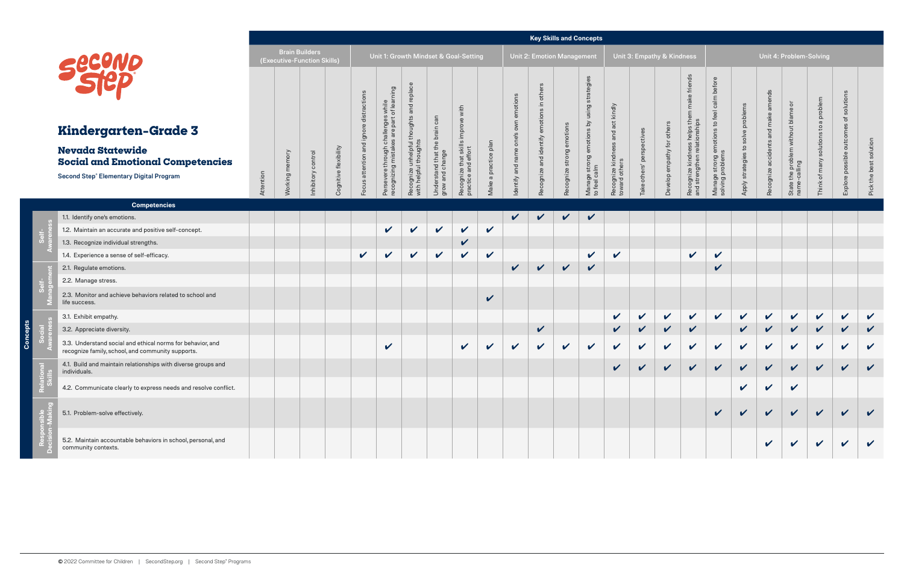|  |                                                                                                                       |                                               |                |                   |                       |                                       |                                                 |                                                                   |                                                               |                                              |                         |                                   | <b>Key Skills and Concepts</b>  |                    |                                                           |                                     |                            |                                |                                                                                                      |                                                     |                       |                        |                                                                     |                                  |                            |                           |
|--|-----------------------------------------------------------------------------------------------------------------------|-----------------------------------------------|----------------|-------------------|-----------------------|---------------------------------------|-------------------------------------------------|-------------------------------------------------------------------|---------------------------------------------------------------|----------------------------------------------|-------------------------|-----------------------------------|---------------------------------|--------------------|-----------------------------------------------------------|-------------------------------------|----------------------------|--------------------------------|------------------------------------------------------------------------------------------------------|-----------------------------------------------------|-----------------------|------------------------|---------------------------------------------------------------------|----------------------------------|----------------------------|---------------------------|
|  |                                                                                                                       | Brain Builders<br>(Executive-Function Skills) |                |                   |                       | Unit 1: Growth Mindset & Goal-Setting |                                                 |                                                                   |                                                               |                                              |                         | <b>Unit 2: Emotion Management</b> |                                 |                    | Unit 3: Empathy & Kindness                                |                                     |                            |                                | Unit 4: Problem-Solving                                                                              |                                                     |                       |                        |                                                                     |                                  |                            |                           |
|  |                                                                                                                       |                                               |                |                   |                       |                                       | s while<br>of learning                          |                                                                   |                                                               | with                                         |                         | emotions                          | $\equiv$                        |                    | strategie<br>sing<br>∍                                    |                                     |                            |                                | make friends                                                                                         | before<br>calm                                      |                       | ds<br>me               | ੱ                                                                   | a problem                        | solution                   |                           |
|  | Kindergarten-Grade 3                                                                                                  |                                               |                |                   |                       | $\omega$<br>$\bar{\mathsf{p}}$        | nges<br>part<br>challer<br>s are                |                                                                   | can<br>brai                                                   | improve                                      |                         | δŇ<br>$\omega$                    |                                 |                    | ons by                                                    | and act kindly                      |                            | others                         | ships<br>운<br>helps<br>$\overline{5}$                                                                | $\mathbf{c}_1$<br>ions                              | solve problems        | and make               |                                                                     |                                  |                            |                           |
|  | <b>Nevada Statewide</b><br><b>Social and Emotional Competencies</b><br><b>Second Step® Elementary Digital Program</b> | Attention                                     | Working memory | nhibitory control | Cognitive flexibility | and<br>attention<br>snoo              | 둥<br>Persevere through c<br>recognizing mistake | Recognize unhelpful thoughts and replace<br>with helpful thoughts | $\omega$<br>≑<br>erstand that t<br>and change<br>Unde<br>grow | Recognize that skills<br>practice and effort | a practice plan<br>Make | one<br>dentify and name           | Recognize and identify emotions | strong<br>acognize | emoti<br>strong<br>ge stro<br>calm<br>Manage<br>to feel c | Recognize kindness<br>toward others | ake others' perspectives   | for<br>athy<br>empa<br>Develop | SS<br>$\frac{a}{\theta}$<br>kindnes<br>$\mathbf{\subseteq}$<br>engther<br>Recognize I<br>and strengt | emotio<br>Is<br>Manage strong e<br>solving problems | q<br>Apply strategies | accidents<br>Recognize | problem without blame<br>$\overline{g}$<br>State the p<br>name-call | solutions to<br>of many<br>Think | outcome<br>Explore possibl | solution<br>Pick the best |
|  | <b>Competencies</b>                                                                                                   |                                               |                |                   |                       |                                       |                                                 |                                                                   |                                                               |                                              |                         |                                   |                                 |                    |                                                           |                                     |                            |                                |                                                                                                      |                                                     |                       |                        |                                                                     |                                  |                            |                           |
|  | 1.1. Identify one's emotions.                                                                                         |                                               |                |                   |                       |                                       |                                                 |                                                                   |                                                               |                                              |                         | $\checkmark$                      | $\sqrt{2}$                      | $\checkmark$       | $\checkmark$                                              |                                     |                            |                                |                                                                                                      |                                                     |                       |                        |                                                                     |                                  |                            |                           |
|  | 1.2. Maintain an accurate and positive self-concept.                                                                  |                                               |                |                   |                       |                                       | $\checkmark$                                    | $\checkmark$                                                      | $\mathbf v$                                                   | $\checkmark$                                 | $\mathbf v$             |                                   |                                 |                    |                                                           |                                     |                            |                                |                                                                                                      |                                                     |                       |                        |                                                                     |                                  |                            |                           |
|  | 1.3. Recognize individual strengths.                                                                                  |                                               |                |                   |                       |                                       |                                                 |                                                                   |                                                               | V                                            |                         |                                   |                                 |                    |                                                           |                                     |                            |                                |                                                                                                      |                                                     |                       |                        |                                                                     |                                  |                            |                           |
|  | 1.4. Experience a sense of self-efficacy.                                                                             |                                               |                |                   |                       | $\mathbf{v}$                          | $\checkmark$                                    | $\mathbf v$                                                       | $\checkmark$                                                  | V                                            | $\checkmark$            |                                   |                                 |                    | $\checkmark$                                              | $\checkmark$                        |                            |                                | $\checkmark$                                                                                         | $\checkmark$                                        |                       |                        |                                                                     |                                  |                            |                           |
|  | 2.1. Regulate emotions.                                                                                               |                                               |                |                   |                       |                                       |                                                 |                                                                   |                                                               |                                              |                         | $\checkmark$                      | $\checkmark$                    | $\vee$             | $\mathbf{v}$                                              |                                     |                            |                                |                                                                                                      | $\checkmark$                                        |                       |                        |                                                                     |                                  |                            |                           |
|  | 2.2. Manage stress.                                                                                                   |                                               |                |                   |                       |                                       |                                                 |                                                                   |                                                               |                                              |                         |                                   |                                 |                    |                                                           |                                     |                            |                                |                                                                                                      |                                                     |                       |                        |                                                                     |                                  |                            |                           |
|  | 2.3. Monitor and achieve behaviors related to school and<br>life success.                                             |                                               |                |                   |                       |                                       |                                                 |                                                                   |                                                               |                                              | V                       |                                   |                                 |                    |                                                           |                                     |                            |                                |                                                                                                      |                                                     |                       |                        |                                                                     |                                  |                            |                           |
|  | 3.1. Exhibit empathy.                                                                                                 |                                               |                |                   |                       |                                       |                                                 |                                                                   |                                                               |                                              |                         |                                   |                                 |                    |                                                           | $\mathbf{v}$                        | $\boldsymbol{\mathcal{U}}$ | $\checkmark$                   | $\sqrt{2}$                                                                                           | $\sqrt{2}$                                          | $\sqrt{2}$            | $\mathbf v$            | $\sqrt{2}$                                                          | $\mathbf v$                      | $\checkmark$               | $\mathbf v$               |
|  | 3.2. Appreciate diversity.                                                                                            |                                               |                |                   |                       |                                       |                                                 |                                                                   |                                                               |                                              |                         |                                   | $\checkmark$                    |                    |                                                           | $\checkmark$                        | $\checkmark$               | $\vee$                         | $\checkmark$                                                                                         |                                                     | $\checkmark$          | $\vee$                 | $\sqrt{2}$                                                          | $\mathbf{v}$                     | $\checkmark$               | $\checkmark$              |
|  | 3.3. Understand social and ethical norms for behavior, and<br>recognize family, school, and community supports.       |                                               |                |                   |                       |                                       | $\checkmark$                                    |                                                                   |                                                               | $\boldsymbol{\mathcal{U}}$                   | V                       | $\mathbf v$                       | $\checkmark$                    | V                  | $\mathbf{v}$                                              | $\mathbf v$                         | $\boldsymbol{\nu}$         | $\mathbf{v}$                   | $\boldsymbol{\mathcal{U}}$                                                                           | $\checkmark$                                        | $\mathbf v$           | $\checkmark$           | $\boldsymbol{\mathcal{U}}$                                          | $\checkmark$                     | V                          | $\checkmark$              |
|  | 4.1. Build and maintain relationships with diverse groups and<br>individuals.                                         |                                               |                |                   |                       |                                       |                                                 |                                                                   |                                                               |                                              |                         |                                   |                                 |                    |                                                           |                                     |                            |                                |                                                                                                      |                                                     |                       |                        |                                                                     |                                  | V V V V V V V V V V V      |                           |
|  | 4.2. Communicate clearly to express needs and resolve conflict.                                                       |                                               |                |                   |                       |                                       |                                                 |                                                                   |                                                               |                                              |                         |                                   |                                 |                    |                                                           |                                     |                            |                                |                                                                                                      |                                                     | $\checkmark$          | $\checkmark$           | $\checkmark$                                                        |                                  |                            |                           |
|  | 5.1. Problem-solve effectively.                                                                                       |                                               |                |                   |                       |                                       |                                                 |                                                                   |                                                               |                                              |                         |                                   |                                 |                    |                                                           |                                     |                            |                                |                                                                                                      | $\mathbf{v}$                                        | $\mathbf{v}$          | $\vee$                 | $\vee$                                                              | $\checkmark$                     |                            |                           |
|  | 5.2. Maintain accountable behaviors in school, personal, and<br>community contexts.                                   |                                               |                |                   |                       |                                       |                                                 |                                                                   |                                                               |                                              |                         |                                   |                                 |                    |                                                           |                                     |                            |                                |                                                                                                      |                                                     |                       | $\mathbf{v}$           |                                                                     | $\checkmark$                     | $\mathbf v$                |                           |

**Concepts**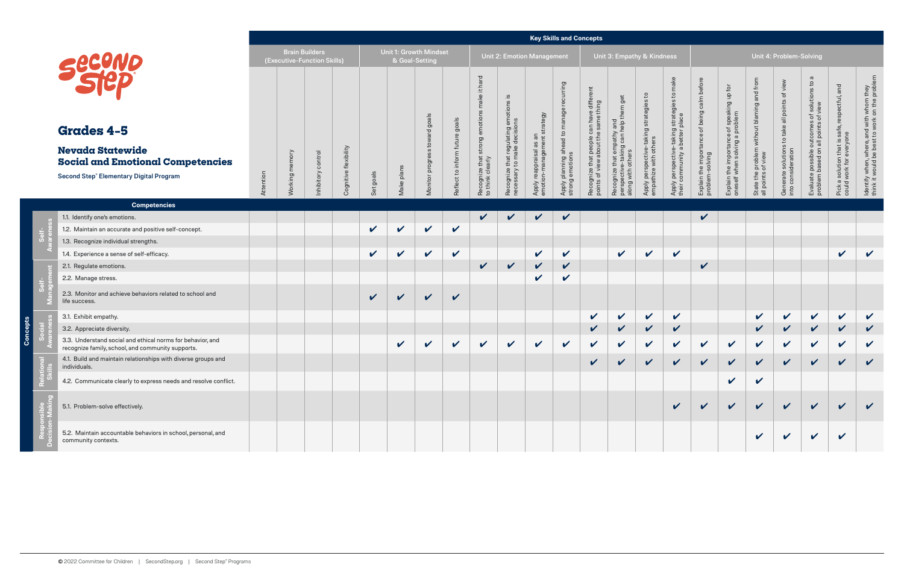|  |                                                                                                                 |           |                                                      |            |                       |              |                |                               |                          |                                      |                                                                                 |                                     | <b>Key Skills and Concepts</b>                              |                                               |                                                                |                                                                                |                                                                             |                                           |                                               |                                                                  |                                                                     |                                                                  |                                                       |                                                                                           |
|--|-----------------------------------------------------------------------------------------------------------------|-----------|------------------------------------------------------|------------|-----------------------|--------------|----------------|-------------------------------|--------------------------|--------------------------------------|---------------------------------------------------------------------------------|-------------------------------------|-------------------------------------------------------------|-----------------------------------------------|----------------------------------------------------------------|--------------------------------------------------------------------------------|-----------------------------------------------------------------------------|-------------------------------------------|-----------------------------------------------|------------------------------------------------------------------|---------------------------------------------------------------------|------------------------------------------------------------------|-------------------------------------------------------|-------------------------------------------------------------------------------------------|
|  |                                                                                                                 |           | <b>Brain Builders</b><br>(Executive-Function Skills) |            |                       |              | & Goal-Setting | <b>Unit 1: Growth Mindset</b> |                          |                                      |                                                                                 | <b>Unit 2: Emotion Management</b>   |                                                             |                                               | Unit 3: Empathy & Kindness                                     |                                                                                |                                                                             | Unit 4: Problem-Solving                   |                                               |                                                                  |                                                                     |                                                                  |                                                       |                                                                                           |
|  |                                                                                                                 |           |                                                      |            |                       |              |                | goals                         | goals                    | hard<br>$\pm$<br>ake<br>emotion      | <u>.e</u><br>$\pmb{\mathsf{w}}$<br>that regulating emotion<br>to make decisions | strategy                            | Apply planning ahead to manage recurring<br>strong emotions | differe<br>ing                                | 9e<br>운<br>y and<br>help t                                     | $\mathsf{c}_1$<br>Apply perspective-taking strategies<br>empathize with others | $\mathtt{c}$<br>y perspective-taking strategies<br>community a better place | calm before<br>of being                   | ce of speaking up for<br>a problem            | State the problem without blaming and from<br>all points of view | Generate solutions to take all points of view<br>into consideration | $\boldsymbol{\varpi}$<br>comes of solutions to<br>points of view | and<br>safe, respectful,                              | ldentify when, where, and with whom they<br>think it would be best to work on the problem |
|  | <b>Grades 4-5</b>                                                                                               |           |                                                      |            |                       |              |                | $\sigma$<br>tow               |                          |                                      |                                                                                 | $\overline{a}$<br>$\sharp$          |                                                             |                                               | empathy<br>can                                                 |                                                                                |                                                                             |                                           | eo                                            |                                                                  |                                                                     |                                                                  |                                                       |                                                                                           |
|  | <b>Nevada Statewide</b><br><b>Social and Emotional Competencies</b>                                             |           |                                                      | ontrol     | Cognitive flexibility |              |                | $\omega$<br>progro            | Reflect to inform future | strong                               |                                                                                 | y reappraisal as a<br>ion-managemen |                                                             | that people can have<br>ew about the same thi | gni<br>others<br>taki                                          |                                                                                |                                                                             | Explain the importance<br>problem-solving | Explain the importanc<br>oneself when solving |                                                                  |                                                                     | Evaluate possible out<br>problem based on all <sub>l</sub>       | Pick a solution that is sa<br>could work for everyone |                                                                                           |
|  | <b>Second Step® Elementary Digital Program</b>                                                                  | Attention | Working memory                                       | Inhibitory |                       | Set goals    | plans<br>Make  | Monitor                       |                          | Recognize that s<br>to think clearly | Recognize t<br>necessary t                                                      | Apply<br>emotic                     |                                                             | Recognize t<br>points of vie                  | Recognize that<br>ectiv<br>with<br>persp <sub>s</sub><br>along |                                                                                | Apply<br>their c                                                            |                                           |                                               |                                                                  |                                                                     |                                                                  |                                                       |                                                                                           |
|  | <b>Competencies</b>                                                                                             |           |                                                      |            |                       |              |                |                               |                          |                                      |                                                                                 |                                     |                                                             |                                               |                                                                |                                                                                |                                                                             |                                           |                                               |                                                                  |                                                                     |                                                                  |                                                       |                                                                                           |
|  | 1.1. Identify one's emotions.                                                                                   |           |                                                      |            |                       |              |                |                               |                          | $\checkmark$                         | $\boldsymbol{\mathcal{U}}$                                                      | $\checkmark$                        | $\checkmark$                                                |                                               |                                                                |                                                                                |                                                                             | $\checkmark$                              |                                               |                                                                  |                                                                     |                                                                  |                                                       |                                                                                           |
|  | 1.2. Maintain an accurate and positive self-concept.                                                            |           |                                                      |            |                       | $\mathbf v$  | $\checkmark$   | $\checkmark$                  | $\checkmark$             |                                      |                                                                                 |                                     |                                                             |                                               |                                                                |                                                                                |                                                                             |                                           |                                               |                                                                  |                                                                     |                                                                  |                                                       |                                                                                           |
|  | 1.3. Recognize individual strengths.                                                                            |           |                                                      |            |                       |              |                |                               |                          |                                      |                                                                                 |                                     |                                                             |                                               |                                                                |                                                                                |                                                                             |                                           |                                               |                                                                  |                                                                     |                                                                  |                                                       |                                                                                           |
|  | 1.4. Experience a sense of self-efficacy.                                                                       |           |                                                      |            |                       | $\checkmark$ | $\checkmark$   | $\sqrt{2}$                    | $\checkmark$             |                                      |                                                                                 | $\checkmark$                        | $\checkmark$                                                |                                               | $\checkmark$                                                   | $\checkmark$                                                                   | $\mathbf v$                                                                 |                                           |                                               |                                                                  |                                                                     |                                                                  | $\checkmark$                                          | $\checkmark$                                                                              |
|  | 2.1. Regulate emotions.                                                                                         |           |                                                      |            |                       |              |                |                               |                          | $\checkmark$                         | $\checkmark$                                                                    | $\mathbf v$                         | $\checkmark$                                                |                                               |                                                                |                                                                                |                                                                             | $\checkmark$                              |                                               |                                                                  |                                                                     |                                                                  |                                                       |                                                                                           |
|  | 2.2. Manage stress.                                                                                             |           |                                                      |            |                       |              |                |                               |                          |                                      |                                                                                 | V                                   | V                                                           |                                               |                                                                |                                                                                |                                                                             |                                           |                                               |                                                                  |                                                                     |                                                                  |                                                       |                                                                                           |
|  | 2.3. Monitor and achieve behaviors related to school and<br>life success.                                       |           |                                                      |            |                       | $\checkmark$ | $\checkmark$   | $\checkmark$                  | $\checkmark$             |                                      |                                                                                 |                                     |                                                             |                                               |                                                                |                                                                                |                                                                             |                                           |                                               |                                                                  |                                                                     |                                                                  |                                                       |                                                                                           |
|  | 3.1. Exhibit empathy.                                                                                           |           |                                                      |            |                       |              |                |                               |                          |                                      |                                                                                 |                                     |                                                             | $\checkmark$                                  | $\checkmark$                                                   | $\checkmark$                                                                   | $\boldsymbol{\mathcal{U}}$                                                  |                                           |                                               | $\checkmark$                                                     | $\checkmark$                                                        | $\checkmark$                                                     | $\checkmark$                                          | $\checkmark$                                                                              |
|  | 3.2. Appreciate diversity.                                                                                      |           |                                                      |            |                       |              |                |                               |                          |                                      |                                                                                 |                                     |                                                             | $\checkmark$                                  | $\mathbf v$                                                    | $\checkmark$                                                                   | $\checkmark$                                                                |                                           |                                               | $\checkmark$                                                     | $\checkmark$                                                        | $\checkmark$                                                     | $\checkmark$                                          | $\checkmark$                                                                              |
|  | 3.3. Understand social and ethical norms for behavior, and<br>recognize family, school, and community supports. |           |                                                      |            |                       |              | $\checkmark$   | $\mathbf v$                   | $\checkmark$             | $\mathbf v$                          | $\mathbf{v}$                                                                    | $\checkmark$                        | $\checkmark$                                                | $\checkmark$                                  | $\checkmark$                                                   | $\checkmark$                                                                   | $\mathbf v$                                                                 | $\mathbf{v}$                              | $\mathbf v$                                   | $\checkmark$                                                     | $\mathbf v$                                                         | $\boldsymbol{\mathcal{U}}$                                       | $\boldsymbol{\mathcal{U}}$                            | $\mathbf v$                                                                               |
|  | 4.1. Build and maintain relationships with diverse groups and<br>individuals.                                   |           |                                                      |            |                       |              |                |                               |                          |                                      |                                                                                 |                                     |                                                             | $\overline{\mathcal{L}}$                      | $\overline{\mathscr{L}}$                                       | $\mathbf{z}$                                                                   | $\mathbf{z}$                                                                | $\mathbf{z}$                              | $\mathbf{z}$                                  | $\mathbf{z}$                                                     | $\mathbf{z}$                                                        | $\mathbf{z}$                                                     | $\overline{ }$                                        | $\overline{ }$                                                                            |
|  | 4.2. Communicate clearly to express needs and resolve conflict.                                                 |           |                                                      |            |                       |              |                |                               |                          |                                      |                                                                                 |                                     |                                                             |                                               |                                                                |                                                                                |                                                                             |                                           | $\checkmark$                                  | $\checkmark$                                                     |                                                                     |                                                                  |                                                       |                                                                                           |
|  | 5.1. Problem-solve effectively.                                                                                 |           |                                                      |            |                       |              |                |                               |                          |                                      |                                                                                 |                                     |                                                             |                                               |                                                                |                                                                                | $\mathbf{v}$                                                                | $\checkmark$                              | $\checkmark$                                  | $\checkmark$                                                     | $\checkmark$                                                        | $\checkmark$                                                     | $\checkmark$                                          | $\boldsymbol{\nu}$                                                                        |
|  | 5.2. Maintain accountable behaviors in school, personal, and<br>community contexts.                             |           |                                                      |            |                       |              |                |                               |                          |                                      |                                                                                 |                                     |                                                             |                                               |                                                                |                                                                                |                                                                             |                                           |                                               | $\boldsymbol{\mathcal{U}}$                                       | V                                                                   | $\boldsymbol{\mathcal{U}}$                                       | $\checkmark$                                          |                                                                                           |

**Concepts**